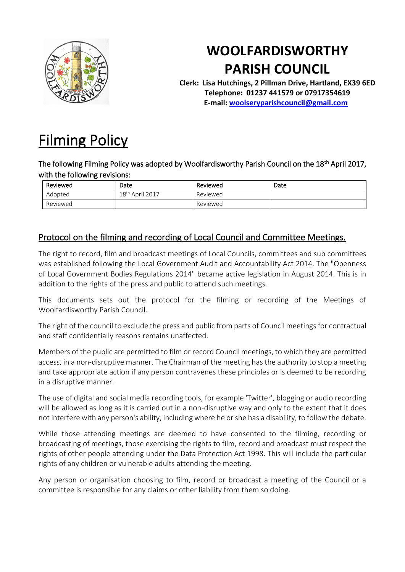

## **WOOLFARDISWORTHY PARISH COUNCIL**

**Clerk: Lisa Hutchings, 2 Pillman Drive, Hartland, EX39 6ED Telephone: 01237 441579 or 07917354619 E-mail: [woolseryparishcouncil@gmail.com](mailto:woolseryparishcouncil@gmail.com)**

## [Filming Policy](http://www.parkhamparish.org.uk/parish-council/policies/filming-policy)

The following Filming Policy was adopted by Woolfardisworthy Parish Council on the 18<sup>th</sup> April 2017, with the following revisions:

| Reviewed | Date                           | Reviewed | Date |
|----------|--------------------------------|----------|------|
| Adopted  | April 2017<br>18 <sup>th</sup> | Reviewed |      |
| Reviewed |                                | Reviewed |      |

## Protocol on the filming and recording of Local Council and Committee Meetings.

The right to record, film and broadcast meetings of Local Councils, committees and sub committees was established following the Local Government Audit and Accountability Act 2014. The "Openness of Local Government Bodies Regulations 2014" became active legislation in August 2014. This is in addition to the rights of the press and public to attend such meetings.

This documents sets out the protocol for the filming or recording of the Meetings of Woolfardisworthy Parish Council.

The right of the council to exclude the press and public from parts of Council meetings for contractual and staff confidentially reasons remains unaffected.

Members of the public are permitted to film or record Council meetings, to which they are permitted access, in a non-disruptive manner. The Chairman of the meeting has the authority to stop a meeting and take appropriate action if any person contravenes these principles or is deemed to be recording in a disruptive manner.

The use of digital and social media recording tools, for example 'Twitter', blogging or audio recording will be allowed as long as it is carried out in a non-disruptive way and only to the extent that it does not interfere with any person's ability, including where he or she has a disability, to follow the debate.

While those attending meetings are deemed to have consented to the filming, recording or broadcasting of meetings, those exercising the rights to film, record and broadcast must respect the rights of other people attending under the Data Protection Act 1998. This will include the particular rights of any children or vulnerable adults attending the meeting.

Any person or organisation choosing to film, record or broadcast a meeting of the Council or a committee is responsible for any claims or other liability from them so doing.